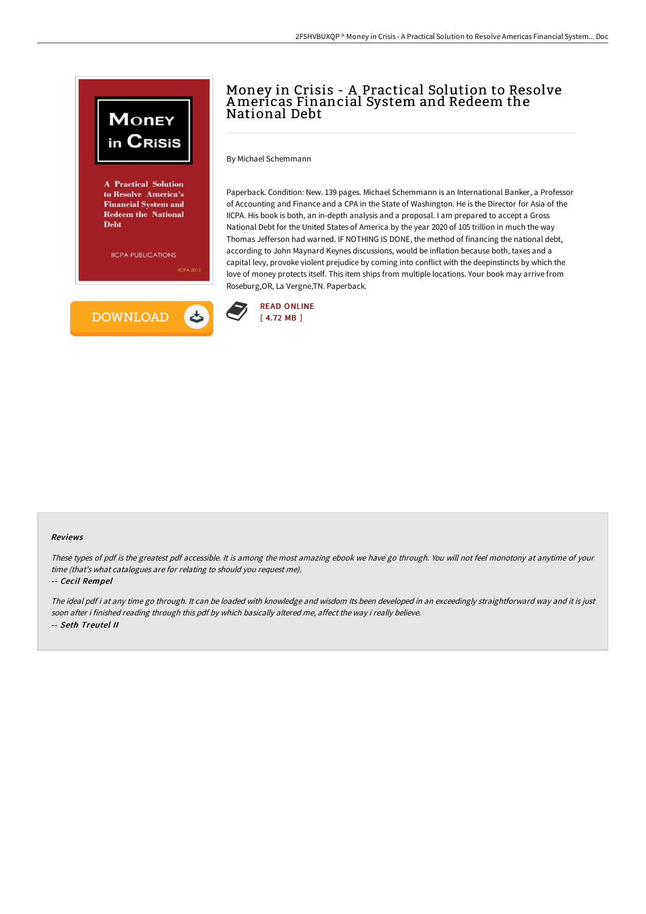

## Money in Crisis - A Practical Solution to Resolve Americas Financial System and Redeem the National Debt

By Michael Schemmann

Paperback. Condition: New. 139 pages. Michael Schemmann is an International Banker, a Professor of Accounting and Finance and a CPA in the State of Washington. He is the Director for Asia of the IICPA. His book is both, an in-depth analysis and a proposal. I am prepared to accept a Gross National Debt for the United States of America by the year 2020 of 105 trillion in much the way Thomas Jefferson had warned. IF NOTHING IS DONE, the method of financing the national debt, according to John Maynard Keynes discussions, would be inflation because both, taxes and a capital levy, provoke violent prejudice by coming into conflict with the deepinstincts by which the love of money protects itself. This item ships from multiple locations. Your book may arrive from Roseburg,OR, La Vergne,TN. Paperback.



## Reviews

These types of pdf is the greatest pdf accessible. It is among the most amazing ebook we have go through. You will not feel monotony at anytime of your time (that's what catalogues are for relating to should you request me).

-- Cecil Rempel

The ideal pdf i at any time go through. It can be loaded with knowledge and wisdom Its been developed in an exceedingly straightforward way and it is just soon after i finished reading through this pdf by which basically altered me, affect the way i really believe. -- Seth Treutel II